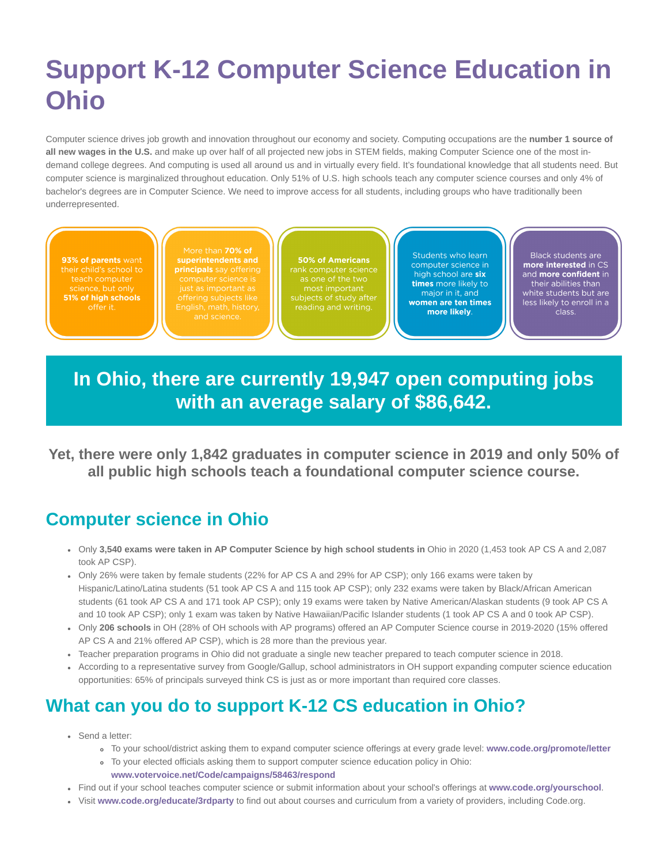# **Support K-12 Computer Science Education in Ohio**

Computer science drives job growth and innovation throughout our economy and society. Computing occupations are the **number 1 source of all new wages in the U.S.** and make up over half of all projected new jobs in STEM fields, making Computer Science one of the most indemand college degrees. And computing is used all around us and in virtually every field. It's foundational knowledge that all students need. But computer science is marginalized throughout education. Only 51% of U.S. high schools teach any computer science courses and only 4% of bachelor's degrees are in Computer Science. We need to improve access for all students, including groups who have traditionally been underrepresented.

93% of parents want science, but only 51% of high schools

More than 70% of principals say offering

**50% of Americans** 

Students who learn computer science in high school are six times more likely to major in it, and women are ten times more likely.

Black students are more interested in CS and more confident in their abilities than white students but are less likely to enroll in a class.

## **In Ohio, there are currently 19,947 open computing jobs with an average salary of \$86,642.**

**Yet, there were only 1,842 graduates in computer science in 2019 and only 50% of all public high schools teach a foundational computer science course.**

#### **Computer science in Ohio**

- Only **3,540 exams were taken in AP Computer Science by high school students in** Ohio in 2020 (1,453 took AP CS A and 2,087 took AP CSP).
- Only 26% were taken by female students (22% for AP CS A and 29% for AP CSP); only 166 exams were taken by Hispanic/Latino/Latina students (51 took AP CS A and 115 took AP CSP); only 232 exams were taken by Black/African American students (61 took AP CS A and 171 took AP CSP); only 19 exams were taken by Native American/Alaskan students (9 took AP CS A and 10 took AP CSP); only 1 exam was taken by Native Hawaiian/Pacific Islander students (1 took AP CS A and 0 took AP CSP).
- Only **206 schools** in OH (28% of OH schools with AP programs) offered an AP Computer Science course in 2019-2020 (15% offered AP CS A and 21% offered AP CSP), which is 28 more than the previous year.
- Teacher preparation programs in Ohio did not graduate a single new teacher prepared to teach computer science in 2018.
- According to a representative survey from Google/Gallup, school administrators in OH support expanding computer science education opportunities: 65% of principals surveyed think CS is just as or more important than required core classes.

### **What can you do to support K-12 CS education in Ohio?**

- Send a letter:
	- To your school/district asking them to expand computer science offerings at every grade level: **[www.code.org/promote/letter](https://code.org/promote/letter)**
	- To your elected officials asking them to support computer science education policy in Ohio:
		- **[www.votervoice.net/Code/campaigns/58463/respond](https://votervoice.net/Code/campaigns/58463/respond)**
- Find out if your school teaches computer science or submit information about your school's offerings at **[www.code.org/yourschool](https://code.org/yourschool)**.
- Visit **[www.code.org/educate/3rdparty](https://code.org/educate/3rdparty)** to find out about courses and curriculum from a variety of providers, including Code.org.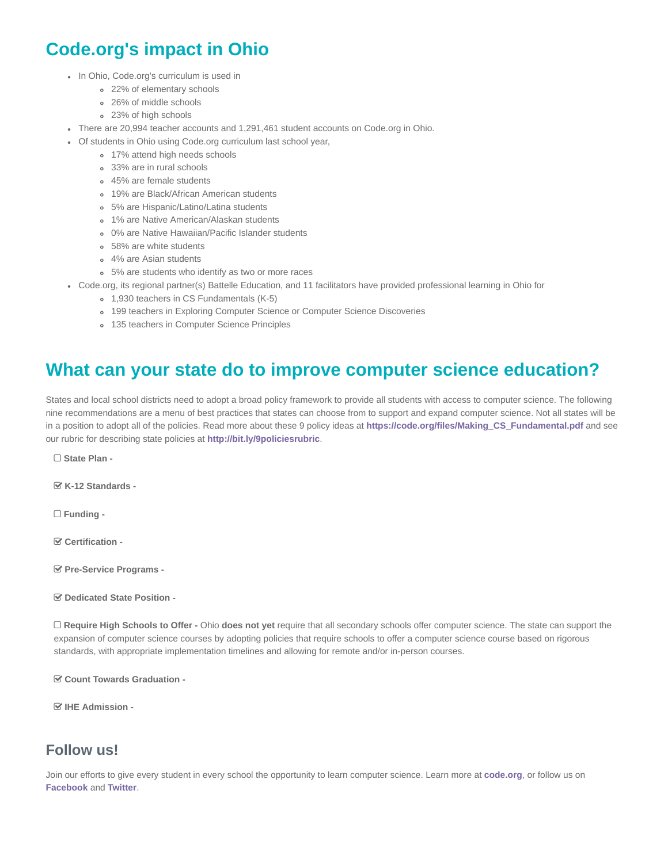### **Code.org's impact in Ohio**

- In Ohio, Code.org's curriculum is used in
	- 22% of elementary schools
	- 26% of middle schools
	- 23% of high schools
- There are 20,994 teacher accounts and 1,291,461 student accounts on Code.org in Ohio.
- Of students in Ohio using Code.org curriculum last school year,
	- 17% attend high needs schools
		- 33% are in rural schools
		- 45% are female students
		- 19% are Black/African American students
		- 5% are Hispanic/Latino/Latina students
		- 1% are Native American/Alaskan students
		- 0% are Native Hawaiian/Pacific Islander students
		- 58% are white students
		- 4% are Asian students
		- 5% are students who identify as two or more races
- Code.org, its regional partner(s) Battelle Education, and 11 facilitators have provided professional learning in Ohio for
	- 1,930 teachers in CS Fundamentals (K-5)
		- 199 teachers in Exploring Computer Science or Computer Science Discoveries
	- o 135 teachers in Computer Science Principles

#### **What can your state do to improve computer science education?**

States and local school districts need to adopt a broad policy framework to provide all students with access to computer science. The following nine recommendations are a menu of best practices that states can choose from to support and expand computer science. Not all states will be in a position to adopt all of the policies. Read more about these 9 policy ideas at **[https://code.org/files/Making\\_CS\\_Fundamental.pdf](https://code.org/files/Making_CS_Fundamental.pdf)** and see our rubric for describing state policies at **<http://bit.ly/9policiesrubric>**.

**State Plan -**

**K-12 Standards -**

**Funding -**

**Certification -**

**Pre-Service Programs -**

**Dedicated State Position -**

 **Require High Schools to Offer -** Ohio **does not yet** require that all secondary schools offer computer science. The state can support the expansion of computer science courses by adopting policies that require schools to offer a computer science course based on rigorous standards, with appropriate implementation timelines and allowing for remote and/or in-person courses.

**Count Towards Graduation -**

**IHE Admission -**

#### **Follow us!**

Join our efforts to give every student in every school the opportunity to learn computer science. Learn more at **[code.org](https://code.org/)**, or follow us on **[Facebook](https://www.facebook.com/Code.org)** and **[Twitter](https://twitter.com/codeorg)**.